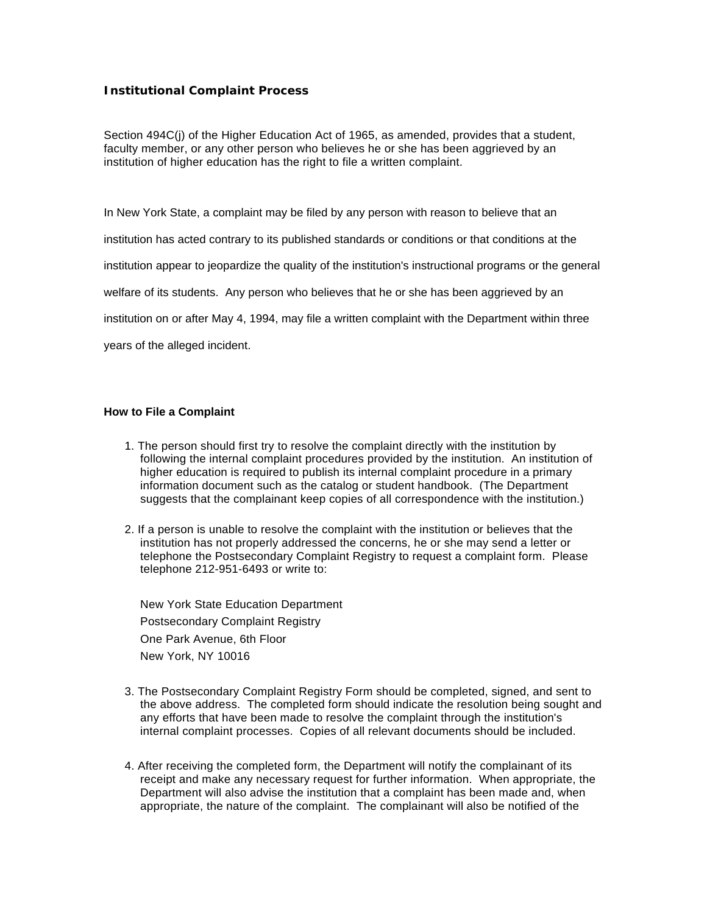## **Institutional Complaint Process**

Section 494C(j) of the Higher Education Act of 1965, as amended, provides that a student, faculty member, or any other person who believes he or she has been aggrieved by an institution of higher education has the right to file a written complaint.

In New York State, a complaint may be filed by any person with reason to believe that an

institution has acted contrary to its published standards or conditions or that conditions at the

institution appear to jeopardize the quality of the institution's instructional programs or the general

welfare of its students. Any person who believes that he or she has been aggrieved by an

institution on or after May 4, 1994, may file a written complaint with the Department within three

years of the alleged incident.

## **How to File a Complaint**

- 1. The person should first try to resolve the complaint directly with the institution by following the internal complaint procedures provided by the institution. An institution of higher education is required to publish its internal complaint procedure in a primary information document such as the catalog or student handbook. (The Department suggests that the complainant keep copies of all correspondence with the institution.)
- 2. If a person is unable to resolve the complaint with the institution or believes that the institution has not properly addressed the concerns, he or she may send a letter or telephone the Postsecondary Complaint Registry to request a complaint form. Please telephone 212-951-6493 or write to:

New York State Education Department Postsecondary Complaint Registry One Park Avenue, 6th Floor New York, NY 10016

- 3. The Postsecondary Complaint Registry Form should be completed, signed, and sent to the above address. The completed form should indicate the resolution being sought and any efforts that have been made to resolve the complaint through the institution's internal complaint processes. Copies of all relevant documents should be included.
- 4. After receiving the completed form, the Department will notify the complainant of its receipt and make any necessary request for further information. When appropriate, the Department will also advise the institution that a complaint has been made and, when appropriate, the nature of the complaint. The complainant will also be notified of the